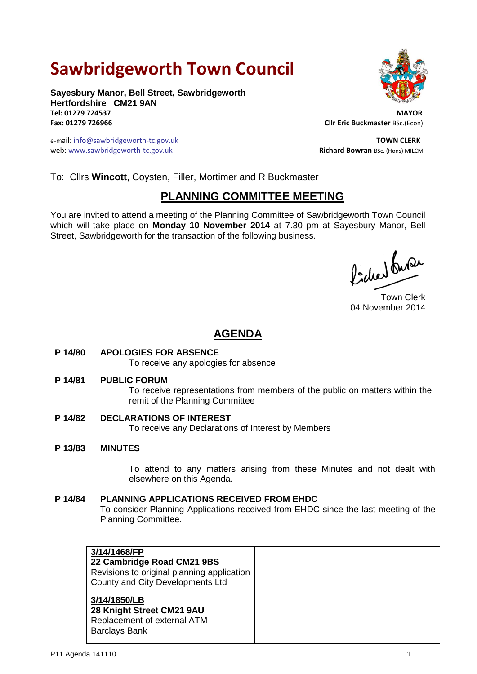# **Sawbridgeworth Town Council**

**Sayesbury Manor, Bell Street, Sawbridgeworth Hertfordshire CM21 9AN Tel: 01279 724537 MAYOR**

e-mail: info@sawbridgeworth-tc.gov.uk **TOWN CLERK** web: www.sawbridgeworth-tc.gov.uk<br> **Richard Bowran** BSc. (Hons) MILCM



**Fax: 01279 726966 Cllr Eric Buckmaster** BSc.(Econ)

To: Cllrs **Wincott**, Coysten, Filler, Mortimer and R Buckmaster

## **PLANNING COMMITTEE MEETING**

You are invited to attend a meeting of the Planning Committee of Sawbridgeworth Town Council which will take place on **Monday 10 November 2014** at 7.30 pm at Sayesbury Manor, Bell Street, Sawbridgeworth for the transaction of the following business.

Picked fuse

Town Clerk 04 November 2014

# **AGENDA**

## **P 14/80 APOLOGIES FOR ABSENCE**

To receive any apologies for absence

#### **P 14/81 PUBLIC FORUM**

To receive representations from members of the public on matters within the remit of the Planning Committee

## **P 14/82 DECLARATIONS OF INTEREST**

To receive any Declarations of Interest by Members

#### **P 13/83 MINUTES**

To attend to any matters arising from these Minutes and not dealt with elsewhere on this Agenda.

## **P 14/84 PLANNING APPLICATIONS RECEIVED FROM EHDC**

To consider Planning Applications received from EHDC since the last meeting of the Planning Committee.

| 3/14/1468/FP<br>22 Cambridge Road CM21 9BS<br>Revisions to original planning application<br>County and City Developments Ltd |  |
|------------------------------------------------------------------------------------------------------------------------------|--|
| 3/14/1850/LB<br>28 Knight Street CM21 9AU<br>Replacement of external ATM<br><b>Barclays Bank</b>                             |  |